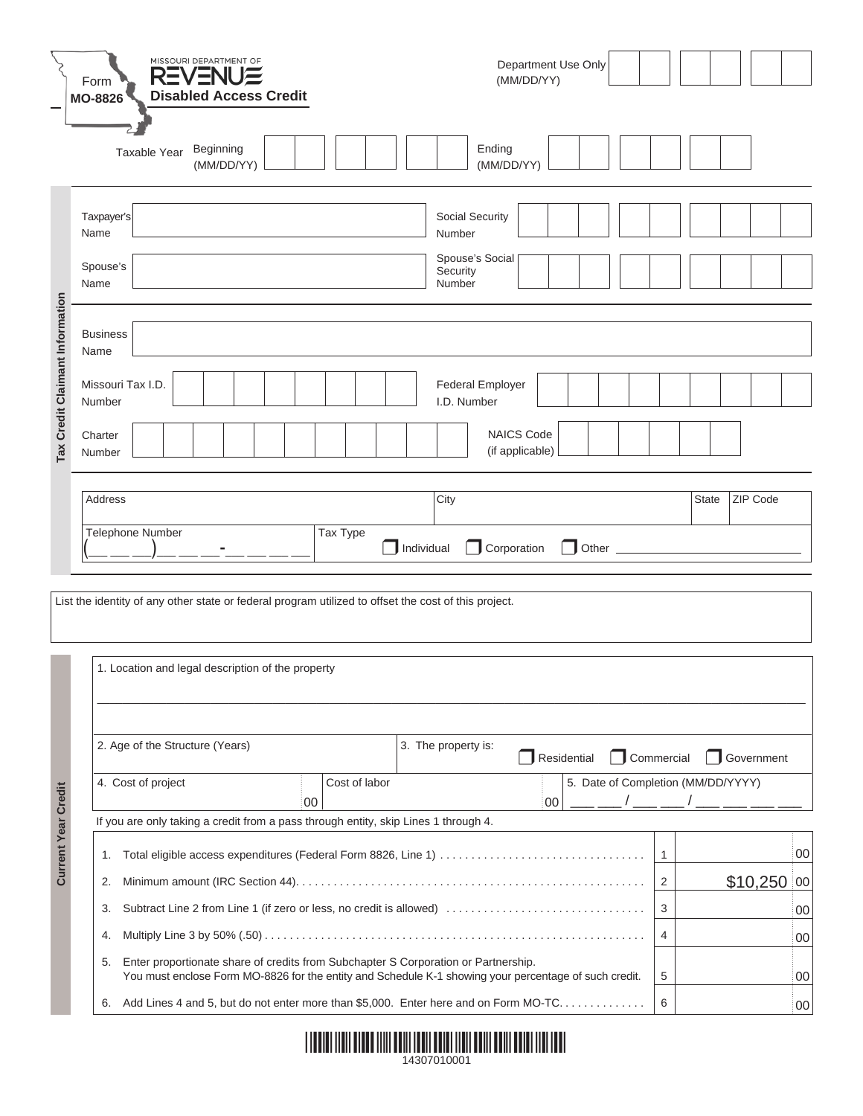|                                 | MISSOURI DEPARTMENT OF<br>Department Use Only<br><b>REVENUE</b><br>(MM/DD/YY)<br>Form<br><b>Disabled Access Credit</b>                                                                            |                          |              |              |    |  |  |  |
|---------------------------------|---------------------------------------------------------------------------------------------------------------------------------------------------------------------------------------------------|--------------------------|--------------|--------------|----|--|--|--|
|                                 | <b>MO-8826</b><br>Ending<br>Beginning<br>Taxable Year<br>(MM/DD/YY)<br>(MM/DD/YY)                                                                                                                 |                          |              |              |    |  |  |  |
|                                 | Social Security<br>Taxpayer's<br>Name<br>Number<br>Spouse's Social<br>Spouse's<br>Security<br>Name<br>Number                                                                                      |                          |              |              |    |  |  |  |
| Tax Credit Claimant Information | <b>Business</b><br>Name                                                                                                                                                                           |                          |              |              |    |  |  |  |
|                                 | Missouri Tax I.D.<br><b>Federal Employer</b><br>I.D. Number<br>Number                                                                                                                             |                          |              |              |    |  |  |  |
|                                 | <b>NAICS Code</b><br>Charter<br>(if applicable)<br>Number                                                                                                                                         |                          |              |              |    |  |  |  |
|                                 | Address<br>City                                                                                                                                                                                   |                          | <b>State</b> | ZIP Code     |    |  |  |  |
|                                 | Telephone Number<br>Tax Type<br>Individual<br>Corporation                                                                                                                                         |                          |              |              |    |  |  |  |
|                                 | List the identity of any other state or federal program utilized to offset the cost of this project.                                                                                              |                          |              |              |    |  |  |  |
|                                 | 1. Location and legal description of the property                                                                                                                                                 |                          |              |              |    |  |  |  |
| <b>Current Year Credit</b>      | 2. Age of the Structure (Years)<br>3. The property is:<br>Residential                                                                                                                             | Commercial<br>Government |              |              |    |  |  |  |
|                                 | 5. Date of Completion (MM/DD/YYYY)<br>Cost of labor<br>4. Cost of project<br>00<br>00                                                                                                             |                          |              |              |    |  |  |  |
|                                 | If you are only taking a credit from a pass through entity, skip Lines 1 through 4.<br>1.                                                                                                         | $\overline{1}$           |              |              | 00 |  |  |  |
|                                 | 2.                                                                                                                                                                                                | 2                        |              | $$10,250$ 00 |    |  |  |  |
|                                 | Subtract Line 2 from Line 1 (if zero or less, no credit is allowed)<br>3.                                                                                                                         | 3                        |              |              | 00 |  |  |  |
|                                 | 4.                                                                                                                                                                                                | 4                        |              |              | 00 |  |  |  |
|                                 | Enter proportionate share of credits from Subchapter S Corporation or Partnership.<br>5.<br>You must enclose Form MO-8826 for the entity and Schedule K-1 showing your percentage of such credit. | 5                        |              |              | 00 |  |  |  |
|                                 | 6. Add Lines 4 and 5, but do not enter more than \$5,000. Enter here and on Form MO-TC<br>6<br>$00\,$                                                                                             |                          |              |              |    |  |  |  |

| <u> 1999 - Paris Maria Maria Maria Maria Maria Maria Maria Maria Maria Maria Maria Maria Maria Maria Maria Maria </u> |  |
|-----------------------------------------------------------------------------------------------------------------------|--|
| 14307010001                                                                                                           |  |